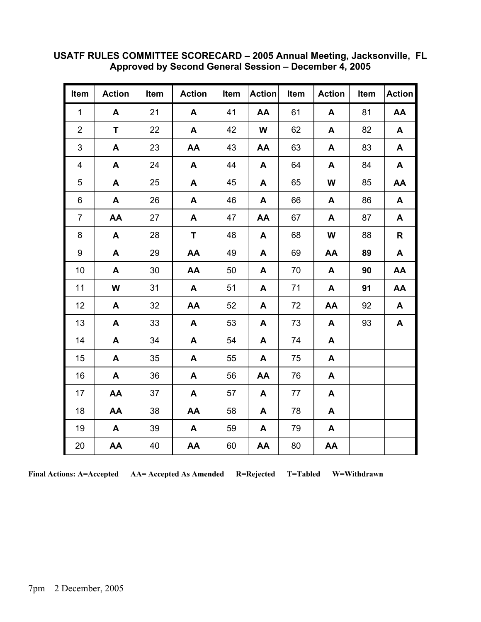| Item           | <b>Action</b> | Item | <b>Action</b> | Item | <b>Action</b> | Item | <b>Action</b> | Item | <b>Action</b> |
|----------------|---------------|------|---------------|------|---------------|------|---------------|------|---------------|
| $\mathbf{1}$   | A             | 21   | A             | 41   | AA            | 61   | A             | 81   | AA            |
| $\overline{2}$ | T.            | 22   | A             | 42   | W             | 62   | A             | 82   | A             |
| 3              | A             | 23   | AA            | 43   | AA            | 63   | A             | 83   | A             |
| 4              | A             | 24   | A             | 44   | A             | 64   | A             | 84   | A             |
| 5              | A             | 25   | A             | 45   | A             | 65   | W             | 85   | AA            |
| 6              | A             | 26   | A             | 46   | A             | 66   | A             | 86   | A             |
| 7              | AA            | 27   | A             | 47   | AA            | 67   | A             | 87   | A             |
| 8              | $\mathsf{A}$  | 28   | T.            | 48   | A             | 68   | W             | 88   | R             |
| 9              | A             | 29   | AA            | 49   | A             | 69   | AA            | 89   | A             |
| 10             | A             | 30   | AA            | 50   | A             | 70   | $\mathbf{A}$  | 90   | AA            |
| 11             | W             | 31   | A             | 51   | A             | 71   | A             | 91   | AA            |
| 12             | A             | 32   | AA            | 52   | A             | 72   | AA            | 92   | A             |
| 13             | A             | 33   | A             | 53   | A             | 73   | A             | 93   | A             |
| 14             | A             | 34   | A             | 54   | A             | 74   | A             |      |               |
| 15             | A             | 35   | A             | 55   | A             | 75   | A             |      |               |
| 16             | A             | 36   | A             | 56   | AA            | 76   | A             |      |               |
| 17             | AA            | 37   | A             | 57   | A             | 77   | A             |      |               |
| 18             | AA            | 38   | AA            | 58   | A             | 78   | A             |      |               |
| 19             | A             | 39   | A             | 59   | A             | 79   | A             |      |               |
| 20             | AA            | 40   | AA            | 60   | AA            | 80   | AA            |      |               |

## **USATF RULES COMMITTEE SCORECARD – 2005 Annual Meeting, Jacksonville, FL Approved by Second General Session – December 4, 2005**

**Final Actions: A=Accepted AA= Accepted As Amended R=Rejected T=Tabled W=Withdrawn**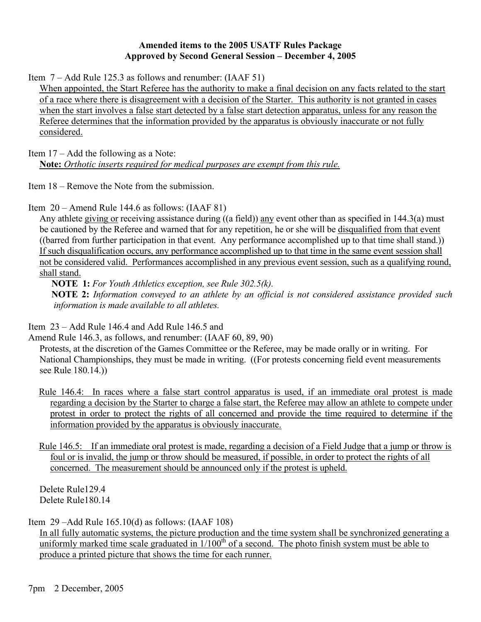## **Amended items to the 2005 USATF Rules Package Approved by Second General Session – December 4, 2005**

Item 7 – Add Rule 125.3 as follows and renumber: (IAAF 51)

When appointed, the Start Referee has the authority to make a final decision on any facts related to the start of a race where there is disagreement with a decision of the Starter. This authority is not granted in cases when the start involves a false start detected by a false start detection apparatus, unless for any reason the Referee determines that the information provided by the apparatus is obviously inaccurate or not fully considered.

Item 17 – Add the following as a Note:

**Note:** *Orthotic inserts required for medical purposes are exempt from this rule.*

Item 18 – Remove the Note from the submission.

Item 20 – Amend Rule 144.6 as follows: (IAAF 81)

Any athlete giving or receiving assistance during ((a field)) any event other than as specified in 144.3(a) must be cautioned by the Referee and warned that for any repetition, he or she will be disqualified from that event ((barred from further participation in that event. Any performance accomplished up to that time shall stand.)) If such disqualification occurs, any performance accomplished up to that time in the same event session shall not be considered valid. Performances accomplished in any previous event session, such as a qualifying round, shall stand.

 **NOTE 1:** *For Youth Athletics exception, see Rule 302.5(k).*

 **NOTE 2:** *Information conveyed to an athlete by an official is not considered assistance provided such information is made available to all athletes.*

Item 23 – Add Rule 146.4 and Add Rule 146.5 and

Amend Rule 146.3, as follows, and renumber: (IAAF 60, 89, 90)

 Protests, at the discretion of the Games Committee or the Referee, may be made orally or in writing. For National Championships, they must be made in writing. ((For protests concerning field event measurements see Rule 180.14.))

- Rule 146.4: In races where a false start control apparatus is used, if an immediate oral protest is made regarding a decision by the Starter to charge a false start, the Referee may allow an athlete to compete under protest in order to protect the rights of all concerned and provide the time required to determine if the information provided by the apparatus is obviously inaccurate.
- Rule 146.5: If an immediate oral protest is made, regarding a decision of a Field Judge that a jump or throw is foul or is invalid, the jump or throw should be measured, if possible, in order to protect the rights of all concerned. The measurement should be announced only if the protest is upheld.

Delete Rule129.4 Delete Rule180.14

Item 29 –Add Rule 165.10(d) as follows: (IAAF 108) In all fully automatic systems, the picture production and the time system shall be synchronized generating a uniformly marked time scale graduated in  $1/100<sup>th</sup>$  of a second. The photo finish system must be able to

produce a printed picture that shows the time for each runner.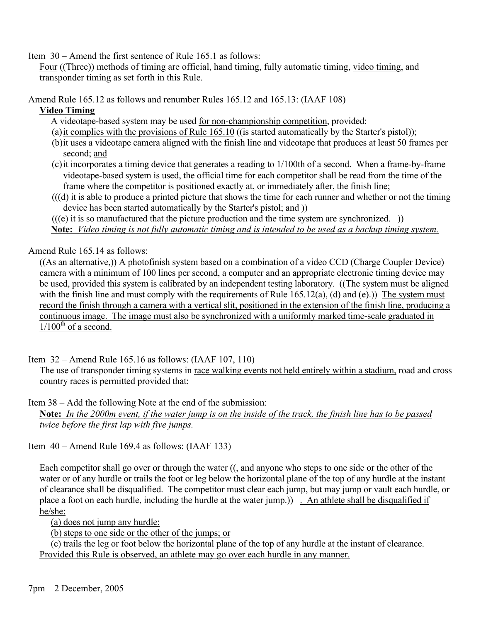Item 30 – Amend the first sentence of Rule 165.1 as follows:

Four ((Three)) methods of timing are official, hand timing, fully automatic timing, video timing, and transponder timing as set forth in this Rule.

Amend Rule 165.12 as follows and renumber Rules 165.12 and 165.13: (IAAF 108)

## **Video Timing**

A videotape-based system may be used for non-championship competition, provided:

- (a) it complies with the provisions of Rule 165.10 ((is started automatically by the Starter's pistol));
- (b) it uses a videotape camera aligned with the finish line and videotape that produces at least 50 frames per second; and
- (c) it incorporates a timing device that generates a reading to 1/100th of a second. When a frame-by-frame videotape-based system is used, the official time for each competitor shall be read from the time of the frame where the competitor is positioned exactly at, or immediately after, the finish line;
- $((d)$  it is able to produce a printed picture that shows the time for each runner and whether or not the timing device has been started automatically by the Starter's pistol; and ))

 $(((e)$  it is so manufactured that the picture production and the time system are synchronized.  $))$ 

**Note:** *Video timing is not fully automatic timing and is intended to be used as a backup timing system.*

Amend Rule 165.14 as follows:

((As an alternative,)) A photofinish system based on a combination of a video CCD (Charge Coupler Device) camera with a minimum of 100 lines per second, a computer and an appropriate electronic timing device may be used, provided this system is calibrated by an independent testing laboratory. ((The system must be aligned with the finish line and must comply with the requirements of Rule  $165.12(a)$ , (d) and (e).)) The system must record the finish through a camera with a vertical slit, positioned in the extension of the finish line, producing a continuous image. The image must also be synchronized with a uniformly marked time-scale graduated in  $1/100^{th}$  of a second.

Item 32 – Amend Rule 165.16 as follows: (IAAF 107, 110)

The use of transponder timing systems in race walking events not held entirely within a stadium, road and cross country races is permitted provided that:

Item 38 – Add the following Note at the end of the submission:

**Note:** *In the 2000m event, if the water jump is on the inside of the track, the finish line has to be passed twice before the first lap with five jumps.*

Item 40 – Amend Rule 169.4 as follows: (IAAF 133)

Each competitor shall go over or through the water ((, and anyone who steps to one side or the other of the water or of any hurdle or trails the foot or leg below the horizontal plane of the top of any hurdle at the instant of clearance shall be disqualified. The competitor must clear each jump, but may jump or vault each hurdle, or place a foot on each hurdle, including the hurdle at the water jump.)) . An athlete shall be disqualified if he/she:

(a) does not jump any hurdle;

(b) steps to one side or the other of the jumps; or

(c) trails the leg or foot below the horizontal plane of the top of any hurdle at the instant of clearance. Provided this Rule is observed, an athlete may go over each hurdle in any manner.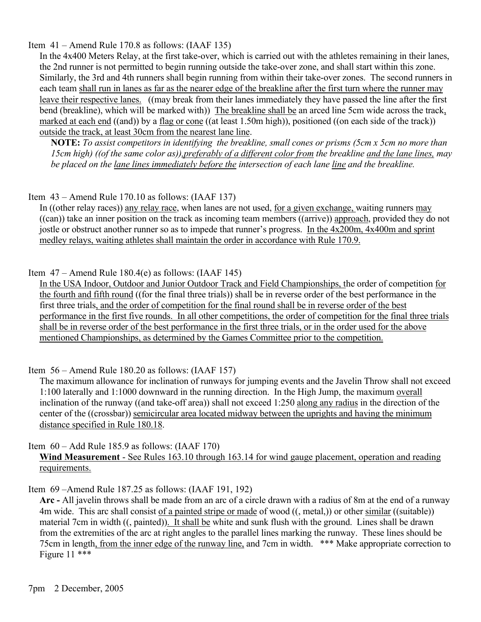Item 41 – Amend Rule 170.8 as follows: (IAAF 135)

In the 4x400 Meters Relay, at the first take-over, which is carried out with the athletes remaining in their lanes, the 2nd runner is not permitted to begin running outside the take-over zone, and shall start within this zone. Similarly, the 3rd and 4th runners shall begin running from within their take-over zones. The second runners in each team shall run in lanes as far as the nearer edge of the breakline after the first turn where the runner may leave their respective lanes. ((may break from their lanes immediately they have passed the line after the first bend (breakline), which will be marked with)) The breakline shall be an arced line 5cm wide across the track, marked at each end ((and)) by a flag or cone ((at least 1.50m high)), positioned ((on each side of the track)) outside the track, at least 30cm from the nearest lane line.

**NOTE:** *To assist competitors in identifying the breakline, small cones or prisms (5cm x 5cm no more than 15cm high) ((of the same color as)),preferably of a different color from the breakline and the lane lines, may be placed on the lane lines immediately before the intersection of each lane line and the breakline.* 

Item 43 – Amend Rule 170.10 as follows: (IAAF 137)

In ((other relay races)) any relay race, when lanes are not used, for a given exchange, waiting runners may ((can)) take an inner position on the track as incoming team members ((arrive)) approach, provided they do not jostle or obstruct another runner so as to impede that runner's progress. In the 4x200m, 4x400m and sprint medley relays, waiting athletes shall maintain the order in accordance with Rule 170.9.

Item  $47 -$ Amend Rule 180.4(e) as follows: (IAAF 145)

In the USA Indoor, Outdoor and Junior Outdoor Track and Field Championships, the order of competition for the fourth and fifth round ((for the final three trials)) shall be in reverse order of the best performance in the first three trials, and the order of competition for the final round shall be in reverse order of the best performance in the first five rounds. In all other competitions, the order of competition for the final three trials shall be in reverse order of the best performance in the first three trials, or in the order used for the above mentioned Championships, as determined by the Games Committee prior to the competition.

Item 56 – Amend Rule 180.20 as follows: (IAAF 157)

The maximum allowance for inclination of runways for jumping events and the Javelin Throw shall not exceed 1:100 laterally and 1:1000 downward in the running direction. In the High Jump, the maximum overall inclination of the runway ((and take-off area)) shall not exceed 1:250 along any radius in the direction of the center of the ((crossbar)) semicircular area located midway between the uprights and having the minimum distance specified in Rule 180.18.

Item 60 – Add Rule 185.9 as follows: (IAAF 170) **Wind Measurement** - See Rules 163.10 through 163.14 for wind gauge placement, operation and reading requirements.

Item 69 –Amend Rule 187.25 as follows: (IAAF 191, 192)

**Arc -** All javelin throws shall be made from an arc of a circle drawn with a radius of 8m at the end of a runway 4m wide. This arc shall consist of a painted stripe or made of wood ((, metal,)) or other similar ((suitable)) material 7cm in width ((, painted)). It shall be white and sunk flush with the ground. Lines shall be drawn from the extremities of the arc at right angles to the parallel lines marking the runway. These lines should be 75cm in length, from the inner edge of the runway line, and 7cm in width. \*\*\* Make appropriate correction to Figure 11 \*\*\*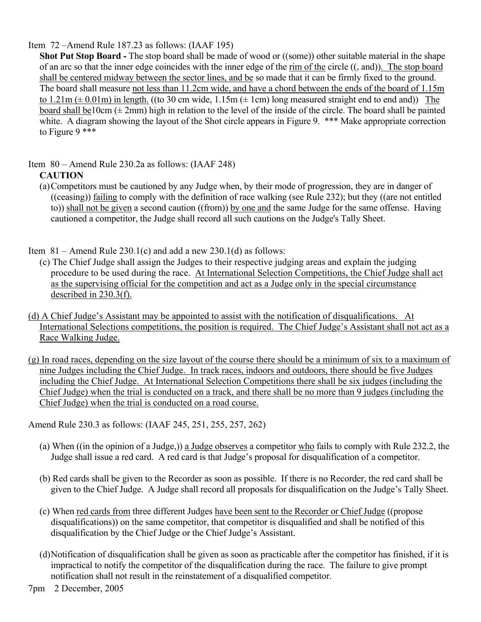Item 72 –Amend Rule 187.23 as follows: (IAAF 195)

**Shot Put Stop Board -** The stop board shall be made of wood or ((some)) other suitable material in the shape of an arc so that the inner edge coincides with the inner edge of the rim of the circle ((, and)). The stop board shall be centered midway between the sector lines, and be so made that it can be firmly fixed to the ground. The board shall measure not less than 11.2cm wide, and have a chord between the ends of the board of 1.15m to 1.21m ( $\pm$  0.01m) in length. ((to 30 cm wide, 1.15m ( $\pm$  1cm) long measured straight end to end and)) The board shall be10cm  $(\pm 2$ mm) high in relation to the level of the inside of the circle. The board shall be painted white. A diagram showing the layout of the Shot circle appears in Figure 9. \*\*\* Make appropriate correction to Figure 9 \*\*\*

Item 80 – Amend Rule 230.2a as follows: (IAAF 248)

## **CAUTION**

(a) Competitors must be cautioned by any Judge when, by their mode of progression, they are in danger of ((ceasing)) failing to comply with the definition of race walking (see Rule 232); but they ((are not entitled to)) shall not be given a second caution ((from)) by one and the same Judge for the same offense. Having cautioned a competitor, the Judge shall record all such cautions on the Judge's Tally Sheet.

Item  $81 -$ Amend Rule 230.1(c) and add a new 230.1(d) as follows:

- (c) The Chief Judge shall assign the Judges to their respective judging areas and explain the judging procedure to be used during the race. At International Selection Competitions, the Chief Judge shall act as the supervising official for the competition and act as a Judge only in the special circumstance described in 230.3(f).
- (d) A Chief Judge's Assistant may be appointed to assist with the notification of disqualifications. At International Selections competitions, the position is required. The Chief Judge's Assistant shall not act as a Race Walking Judge.
- (g) In road races, depending on the size layout of the course there should be a minimum of six to a maximum of nine Judges including the Chief Judge. In track races, indoors and outdoors, there should be five Judges including the Chief Judge. At International Selection Competitions there shall be six judges (including the Chief Judge) when the trial is conducted on a track, and there shall be no more than 9 judges (including the Chief Judge) when the trial is conducted on a road course.

Amend Rule 230.3 as follows: (IAAF 245, 251, 255, 257, 262)

- (a) When ((in the opinion of a Judge,)) a Judge observes a competitor who fails to comply with Rule 232.2, the Judge shall issue a red card. A red card is that Judge's proposal for disqualification of a competitor.
- (b) Red cards shall be given to the Recorder as soon as possible. If there is no Recorder, the red card shall be given to the Chief Judge. A Judge shall record all proposals for disqualification on the Judge's Tally Sheet.
- (c) When red cards from three different Judges have been sent to the Recorder or Chief Judge ((propose disqualifications)) on the same competitor, that competitor is disqualified and shall be notified of this disqualification by the Chief Judge or the Chief Judge's Assistant.
- (d) Notification of disqualification shall be given as soon as practicable after the competitor has finished, if it is impractical to notify the competitor of the disqualification during the race. The failure to give prompt notification shall not result in the reinstatement of a disqualified competitor.
- 7pm 2 December, 2005